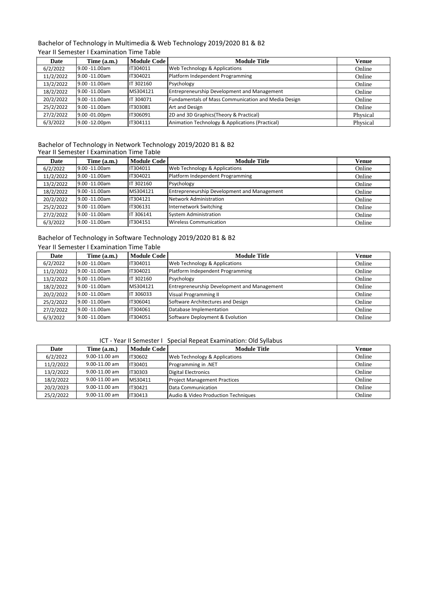### Bachelor of Technology in Multimedia & Web Technology 2019/2020 B1 & B2 Year II Semester I Examination Time Table

| Date      | Time $(a.m.)$     | <b>Module Code</b> | <b>Module Title</b>                                 | Venue    |
|-----------|-------------------|--------------------|-----------------------------------------------------|----------|
| 6/2/2022  | 9.00 -11.00am     | IT304011           | Web Technology & Applications                       | Online   |
| 11/2/2022 | $9.00 - 11.00$ am | IT304021           | Platform Independent Programming                    | Online   |
| 13/2/2022 | $9.00 - 11.00$ am | IT 302160          | Psychology                                          | Online   |
| 18/2/2022 | $9.00 - 11.00$ am | MS304121           | <b>Entrepreneurship Development and Management</b>  | Online   |
| 20/2/2022 | 9.00 -11.00am     | IT 304071          | Fundamentals of Mass Communication and Media Design | Online   |
| 25/2/2022 | $9.00 - 11.00$ am | IT303081           | Art and Design                                      | Online   |
| 27/2/2022 | 9.00 -01.00pm     | IT306091           | 2D and 3D Graphics (Theory & Practical)             | Physical |
| 6/3/2022  | $9.00 - 12.00$ pm | IT304111           | Animation Technology & Applications (Practical)     | Physical |

#### Bachelor of Technology in Network Technology 2019/2020 B1 & B2 Year II Semester I Examination Time Table

| Date      | Time (a.m.)       | <b>Module Code</b> | <b>Module Title</b>                                | Venue  |
|-----------|-------------------|--------------------|----------------------------------------------------|--------|
| 6/2/2022  | 9.00 -11.00am     | IT304011           | Web Technology & Applications                      | Online |
| 11/2/2022 | 9.00 -11.00am     | IT304021           | Platform Independent Programming                   | Online |
| 13/2/2022 | $9.00 - 11.00$ am | IT 302160          | Psychology                                         | Online |
| 18/2/2022 | $9.00 - 11.00$ am | MS304121           | <b>Entrepreneurship Development and Management</b> | Online |
| 20/2/2022 | $9.00 - 11.00$ am | IT304121           | Network Administration                             | Online |
| 25/2/2022 | $9.00 - 11.00$ am | IT306131           | Internetwork Switching                             | Online |
| 27/2/2022 | $9.00 - 11.00$ am | IT 306141          | System Administration                              | Online |
| 6/3/2022  | $9.00 - 11.00$ am | IT304151           | <b>Wireless Communication</b>                      | Online |

## Bachelor of Technology in Software Technology 2019/2020 B1 & B2

| Year II Semester I Examination Time Table |  |  |  |
|-------------------------------------------|--|--|--|
|-------------------------------------------|--|--|--|

| Date      | Time (a.m.)        | <b>Module Code</b> | <b>Module Title</b>                         | Venue  |
|-----------|--------------------|--------------------|---------------------------------------------|--------|
| 6/2/2022  | $9.00 - 11.00$ am  | IT304011           | Web Technology & Applications               | Online |
| 11/2/2022 | $9.00 - 11.00$ am  | IT304021           | Platform Independent Programming            | Online |
| 13/2/2022 | $9.00 - 11.00$ am  | IT 302160          | Psychology                                  | Online |
| 18/2/2022 | $9.00 - 11.00$ am  | MS304121           | Entrepreneurship Development and Management | Online |
| 20/2/2022 | $19.00 - 11.00$ am | IT 306033          | <b>Visual Programming II</b>                | Online |
| 25/2/2022 | $9.00 - 11.00$ am  | IT306041           | Software Architectures and Design           | Online |
| 27/2/2022 | 9.00 -11.00am      | IT304061           | Database Implementation                     | Online |
| 6/3/2022  | $9.00 - 11.00$ am  | IT304051           | Software Deployment & Evolution             | Online |

### ICT - Year II Semester I Special Repeat Examination: Old Syllabus

|           | TCT - Year II Semester E Special Repeat Examination: Old Syliabus |                |                                     |        |  |  |
|-----------|-------------------------------------------------------------------|----------------|-------------------------------------|--------|--|--|
| Date      | Time (a.m.)                                                       | Module Code    | <b>Module Title</b>                 | Venue  |  |  |
| 6/2/2022  | $9.00 - 11.00$ am                                                 | <b>IT30602</b> | Web Technology & Applications       | Online |  |  |
| 11/2/2022 | $9.00 - 11.00$ am                                                 | IT30401        | Programming in .NET                 | Online |  |  |
| 13/2/2022 | $9.00 - 11.00$ am                                                 | IT30303        | <b>Digital Electronics</b>          | Online |  |  |
| 18/2/2022 | $9.00 - 11.00$ am                                                 | MS30411        | <b>Project Management Practices</b> | Online |  |  |
| 20/2/2023 | $9.00 - 11.00$ am                                                 | IT30421        | Data Communication                  | Online |  |  |
| 25/2/2022 | $9.00 - 11.00$ am                                                 | IT30413        | Audio & Video Production Techniques | Online |  |  |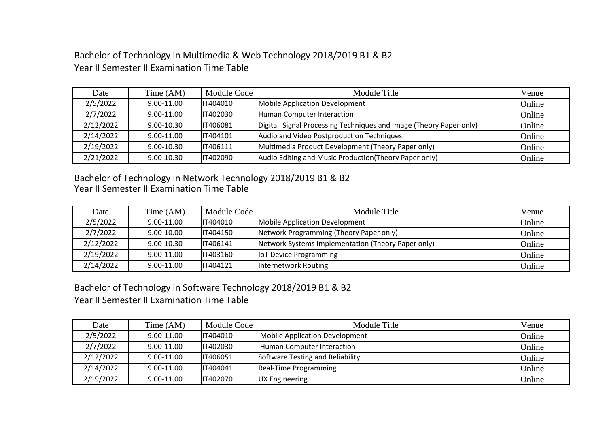Bachelor of Technology in Multimedia & Web Technology 2018/2019 B1 & B2 Year II Semester II Examination Time Table

| Date      | Time (AM)  | Module Code     | Module Title                                                       | Venue  |
|-----------|------------|-----------------|--------------------------------------------------------------------|--------|
| 2/5/2022  | 9.00-11.00 | IT404010        | Mobile Application Development                                     | Online |
| 2/7/2022  | 9.00-11.00 | IT402030        | Human Computer Interaction                                         | Online |
| 2/12/2022 | 9.00-10.30 | IT406081        | Digital Signal Processing Techniques and Image (Theory Paper only) | Online |
| 2/14/2022 | 9.00-11.00 | IT404101        | Audio and Video Postproduction Techniques                          | Online |
| 2/19/2022 | 9.00-10.30 | <b>IT406111</b> | Multimedia Product Development (Theory Paper only)                 | Online |
| 2/21/2022 | 9.00-10.30 | IT402090        | Audio Editing and Music Production (Theory Paper only)             | Online |

Bachelor of Technology in Network Technology 2018/2019 B1 & B2 Year II Semester II Examination Time Table

| Date      | Time (AM)      | Module Code     | Module Title                                       | Venue  |
|-----------|----------------|-----------------|----------------------------------------------------|--------|
| 2/5/2022  | 9.00-11.00     | IT404010        | Mobile Application Development                     | Online |
| 2/7/2022  | $9.00 - 10.00$ | IT404150        | Network Programming (Theory Paper only)            | Online |
| 2/12/2022 | $9.00 - 10.30$ | IT406141        | Network Systems Implementation (Theory Paper only) | Online |
| 2/19/2022 | 9.00-11.00     | <b>IT403160</b> | <b>IoT Device Programming</b>                      | Online |
| 2/14/2022 | 9.00-11.00     | IT404121        | Internetwork Routing                               | Online |

Bachelor of Technology in Software Technology 2018/2019 B1 & B2 Year II Semester II Examination Time Table

| Date      | Time (AM)  | Module Code | Module Title                          | Venue  |
|-----------|------------|-------------|---------------------------------------|--------|
| 2/5/2022  | 9.00-11.00 | IT404010    | <b>Mobile Application Development</b> | Online |
| 2/7/2022  | 9.00-11.00 | IT402030    | Human Computer Interaction            | Online |
| 2/12/2022 | 9.00-11.00 | IT406051    | Software Testing and Reliability      | Online |
| 2/14/2022 | 9.00-11.00 | IT404041    | Real-Time Programming                 | Online |
| 2/19/2022 | 9.00-11.00 | IT402070    | UX Engineering                        | Online |